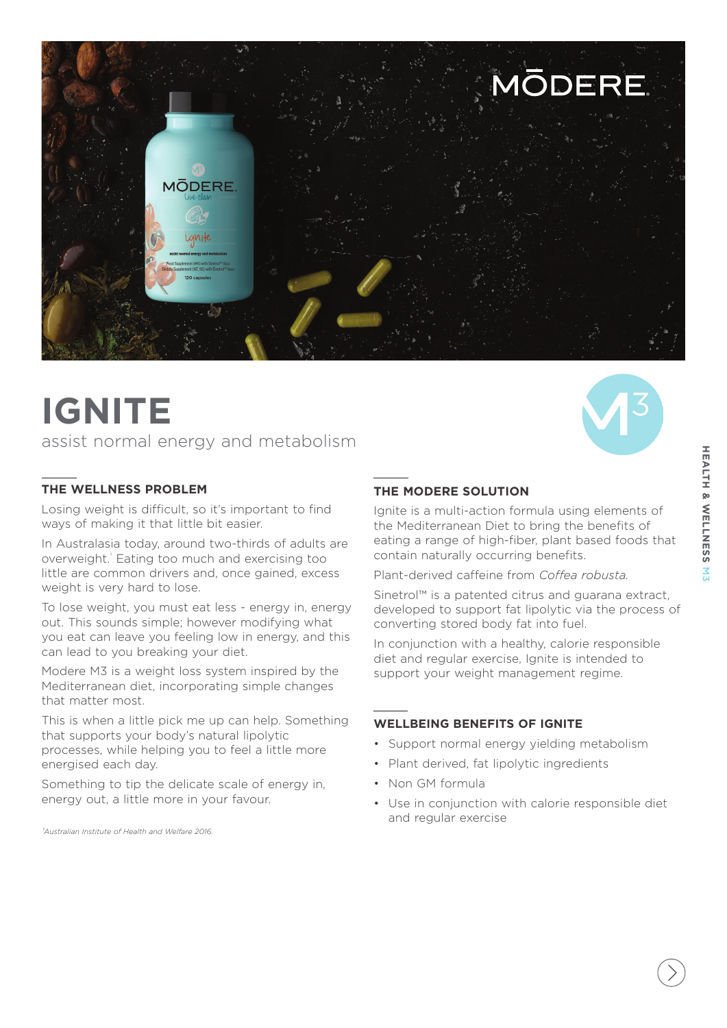

# **IGNITE**

## assist normal energy and metabolism

## **THE WELLNESS PROBLEM**

Losing weight is difficult, so it's important to find ways of making it that little bit easier.

In Australasia today, around two-thirds of adults are overweight.<sup>1</sup> Eating too much and exercising too little are common drivers and, once gained, excess weight is very hard to lose.

To lose weight, you must eat less - energy in, energy out. This sounds simple; however modifying what you eat can leave you feeling low in energy, and this can lead to you breaking your diet.

Modere M3 is a weight loss system inspired by the Mediterranean diet, incorporating simple changes that matter most.

This is when a little pick me up can help. Something that supports your body's natural lipolytic processes, while helping you to feel a little more energised each day.

Something to tip the delicate scale of energy in, energy out, a little more in your favour.

*¹Australian Institute of Health and Welfare 2016.* 

## **THE MODERE SOLUTION**

Ignite is a multi-action formula using elements of the Mediterranean Diet to bring the benefits of eating a range of high-fiber, plant based foods that contain naturally occurring benefits.

Plant-derived caffeine from *Coffea robusta.*

Sinetrol™ is a patented citrus and guarana extract, developed to support fat lipolytic via the process of converting stored body fat into fuel.

In conjunction with a healthy, calorie responsible diet and regular exercise, Ignite is intended to support your weight management regime.

### **WELLBEING BENEFITS OF IGNITE**

- Support normal energy yielding metabolism
- Plant derived, fat lipolytic ingredients
- Non GM formula
- Use in conjunction with calorie responsible diet and regular exercise